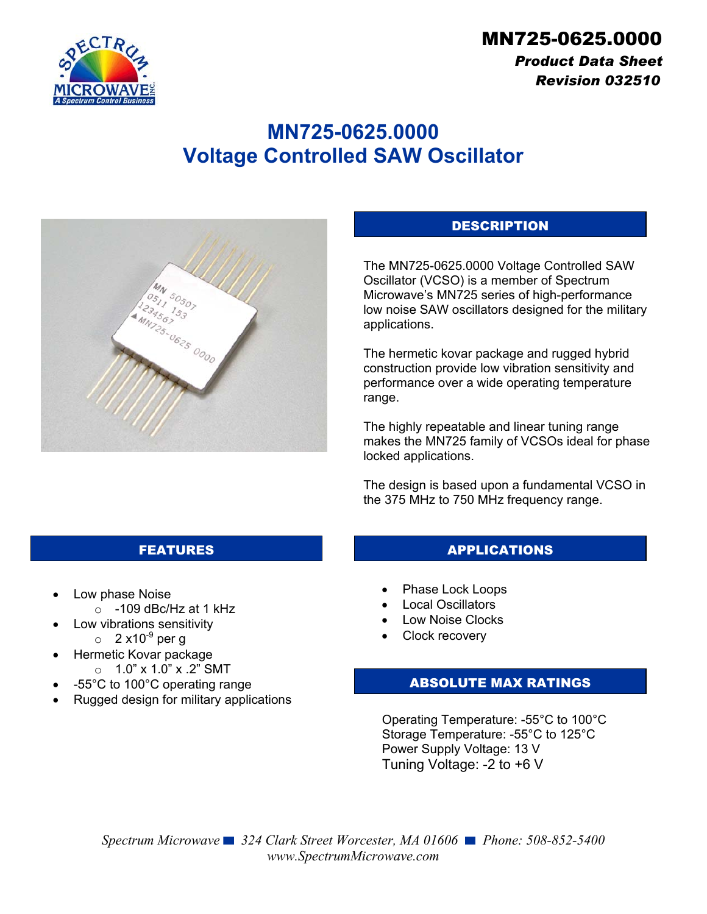

# *Product Data Sheet Revision 032510*

# **MN725-0625.0000 Voltage Controlled SAW Oscillator**



### **DESCRIPTION**

The MN725-0625.0000 Voltage Controlled SAW Oscillator (VCSO) is a member of Spectrum Microwave's MN725 series of high-performance low noise SAW oscillators designed for the military applications.

The hermetic kovar package and rugged hybrid construction provide low vibration sensitivity and performance over a wide operating temperature range.

The highly repeatable and linear tuning range makes the MN725 family of VCSOs ideal for phase locked applications.

The design is based upon a fundamental VCSO in the 375 MHz to 750 MHz frequency range.

- Low phase Noise
	- $\circ$  -109 dBc/Hz at 1 kHz
	- Low vibrations sensitivity
		- $\circ$  2 x10<sup>-9</sup> per g
- Hermetic Kovar package o 1.0" x 1.0" x .2" SMT
- -55°C to 100°C operating range
- Rugged design for military applications

#### FEATURES APPLICATIONS

- Phase Lock Loops
- Local Oscillators
- Low Noise Clocks
- Clock recovery

#### ABSOLUTE MAX RATINGS

Operating Temperature: -55°C to 100°C Storage Temperature: -55°C to 125°C Power Supply Voltage: 13 V Tuning Voltage: -2 to +6 V

*Spectrum Microwave 324 Clark Street Worcester, MA 01606 Phone: 508-852-5400 www.SpectrumMicrowave.com*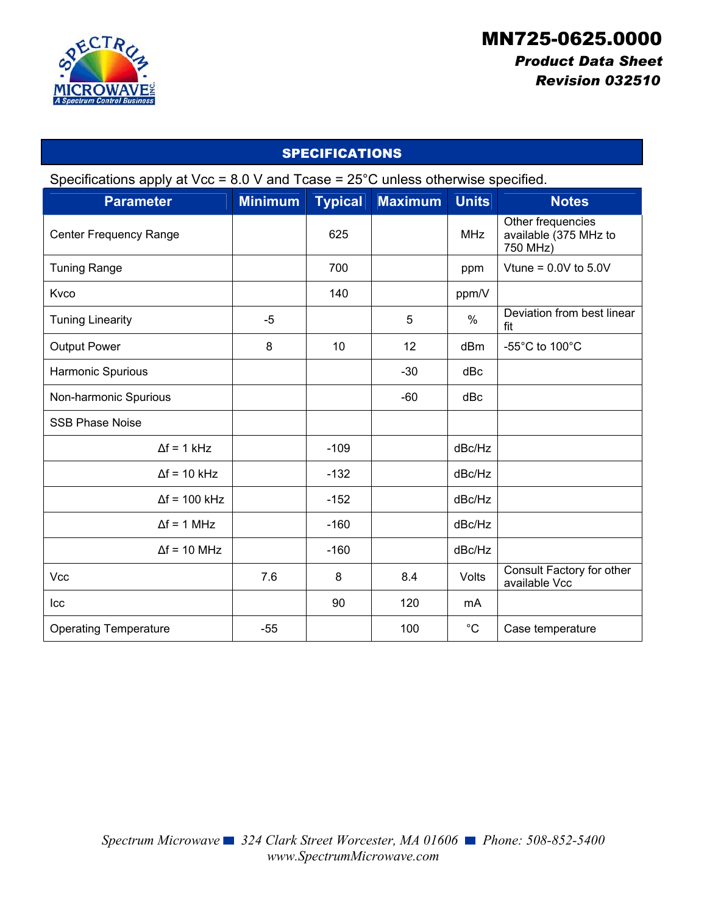

# *Product Data Sheet Revision 032510*

| <b>SPECIFICATIONS</b>                                                                        |                |                |                |               |                                                        |
|----------------------------------------------------------------------------------------------|----------------|----------------|----------------|---------------|--------------------------------------------------------|
| Specifications apply at Vcc = $8.0$ V and Tcase = $25^{\circ}$ C unless otherwise specified. |                |                |                |               |                                                        |
| <b>Parameter</b>                                                                             | <b>Minimum</b> | <b>Typical</b> | <b>Maximum</b> | <b>Units</b>  | <b>Notes</b>                                           |
| Center Frequency Range                                                                       |                | 625            |                | <b>MHz</b>    | Other frequencies<br>available (375 MHz to<br>750 MHz) |
| <b>Tuning Range</b>                                                                          |                | 700            |                | ppm           | Vtune = $0.0V$ to $5.0V$                               |
| Kvco                                                                                         |                | 140            |                | ppm/V         |                                                        |
| <b>Tuning Linearity</b>                                                                      | $-5$           |                | 5              | $\frac{0}{0}$ | Deviation from best linear<br>fit                      |
| <b>Output Power</b>                                                                          | 8              | 10             | 12             | dBm           | -55 $^{\circ}$ C to 100 $^{\circ}$ C                   |
| Harmonic Spurious                                                                            |                |                | $-30$          | dBc           |                                                        |
| Non-harmonic Spurious                                                                        |                |                | $-60$          | dBc           |                                                        |
| <b>SSB Phase Noise</b>                                                                       |                |                |                |               |                                                        |
| $\Delta f = 1$ kHz                                                                           |                | $-109$         |                | dBc/Hz        |                                                        |
| $\Delta f = 10$ kHz                                                                          |                | $-132$         |                | dBc/Hz        |                                                        |
| $\Delta f = 100$ kHz                                                                         |                | $-152$         |                | dBc/Hz        |                                                        |
| $\Delta f = 1$ MHz                                                                           |                | $-160$         |                | dBc/Hz        |                                                        |
| $\Delta f = 10$ MHz                                                                          |                | $-160$         |                | dBc/Hz        |                                                        |
| Vcc                                                                                          | 7.6            | 8              | 8.4            | Volts         | Consult Factory for other<br>available Vcc             |
| Icc                                                                                          |                | 90             | 120            | mA            |                                                        |
| <b>Operating Temperature</b>                                                                 | $-55$          |                | 100            | $^{\circ}C$   | Case temperature                                       |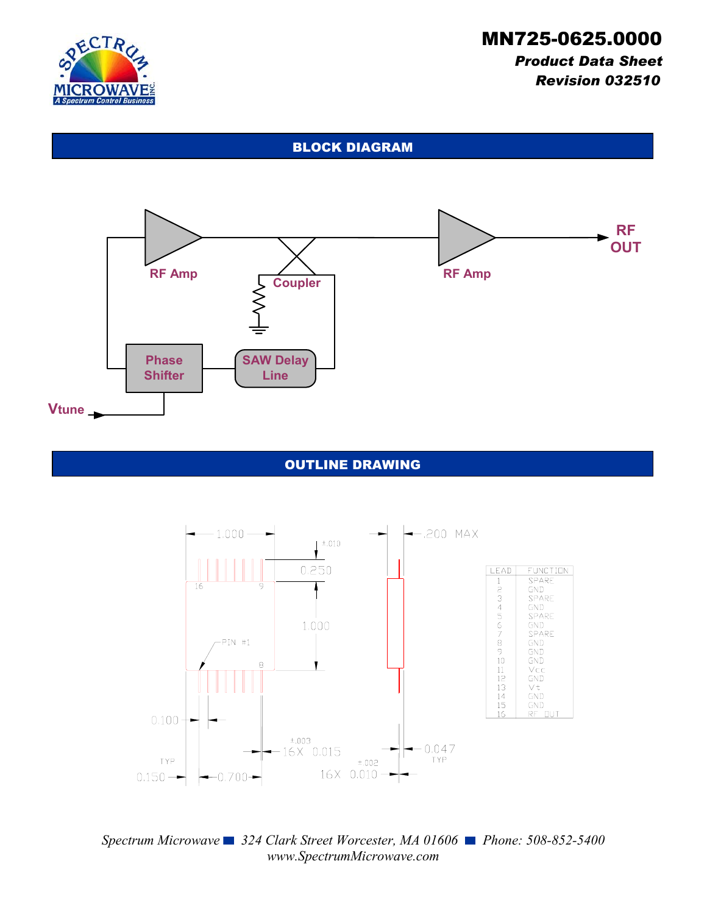

# *Product Data Sheet Revision 032510*

#### BLOCK DIAGRAM



#### OUTLINE DRAWING



*Spectrum Microwave* ■ 324 Clark Street Worcester, MA 01606 ■ Phone: 508-852-5400 *www.SpectrumMicrowave.com*